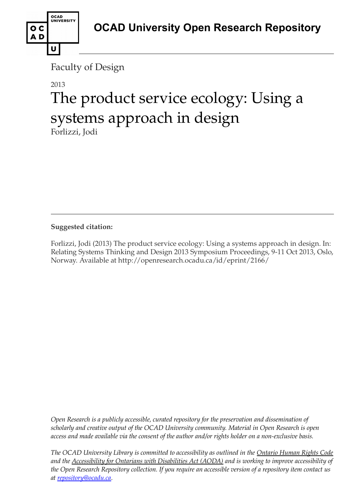

OCAD<br>UNIVERSITY

U

o c AD

# 2013 The product service ecology: Using a systems approach in design

Forlizzi, Jodi

**Suggested citation:** 

Forlizzi, Jodi (2013) The product service ecology: Using a systems approach in design. In: Relating Systems Thinking and Design 2013 Symposium Proceedings, 9-11 Oct 2013, Oslo, Norway. Available at http://openresearch.ocadu.ca/id/eprint/2166/

*Open Research is a publicly accessible, curated repository for the preservation and dissemination of scholarly and creative output of the OCAD University community. Material in Open Research is open access and made available via the consent of the author and/or rights holder on a non-exclusive basis.* 

*The OCAD University Library is committed to accessibility as outlined in the Ontario Human Rights Code and the Accessibility for Ontarians with Disabilities Act (AODA) and is working to improve accessibility of the Open Research Repository collection. If you require an accessible version of a repository item contact us at [repository@ocadu.ca.](mailto:repository@ocadu.ca)*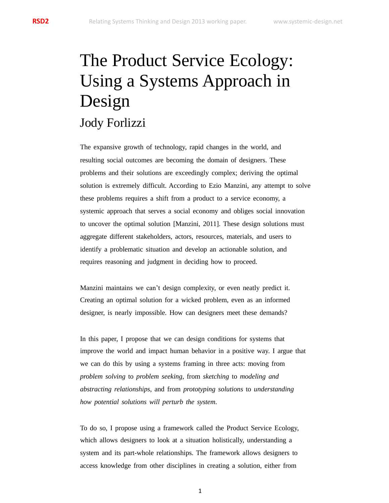# The Product Service Ecology: Using a Systems Approach in Design Jody Forlizzi

The expansive growth of technology, rapid changes in the world, and resulting social outcomes are becoming the domain of designers. These problems and their solutions are exceedingly complex; deriving the optimal solution is extremely difficult. According to Ezio Manzini, any attempt to solve these problems requires a shift from a product to a service economy, a systemic approach that serves a social economy and obliges social innovation to uncover the optimal solution [Manzini, 2011]. These design solutions must aggregate different stakeholders, actors, resources, materials, and users to identify a problematic situation and develop an actionable solution, and requires reasoning and judgment in deciding how to proceed.

Manzini maintains we can't design complexity, or even neatly predict it. Creating an optimal solution for a wicked problem, even as an informed designer, is nearly impossible. How can designers meet these demands?

In this paper, I propose that we can design conditions for systems that improve the world and impact human behavior in a positive way. I argue that we can do this by using a systems framing in three acts: moving from *problem solving* to *problem seeking*, from *sketching* to *modeling and abstracting relationships*, and from *prototyping solutions* to *understanding how potential solutions will perturb the system*.

To do so, I propose using a framework called the Product Service Ecology, which allows designers to look at a situation holistically, understanding a system and its part-whole relationships. The framework allows designers to access knowledge from other disciplines in creating a solution, either from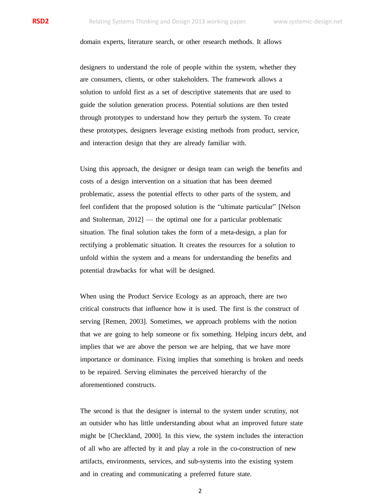domain experts, literature search, or other research methods. It allows

designers to understand the role of people within the system, whether they are consumers, clients, or other stakeholders. The framework allows a solution to unfold first as a set of descriptive statements that are used to guide the solution generation process. Potential solutions are then tested through prototypes to understand how they perturb the system. To create these prototypes, designers leverage existing methods from product, service, and interaction design that they are already familiar with.

Using this approach, the designer or design team can weigh the benefits and costs of a design intervention on a situation that has been deemed problematic, assess the potential effects to other parts of the system, and feel confident that the proposed solution is the "ultimate particular" [Nelson and Stolterman, 2012] — the optimal one for a particular problematic situation. The final solution takes the form of a meta-design, a plan for rectifying a problematic situation. It creates the resources for a solution to unfold within the system and a means for understanding the benefits and potential drawbacks for what will be designed.

When using the Product Service Ecology as an approach, there are two critical constructs that influence how it is used. The first is the construct of serving [Remen, 2003]. Sometimes, we approach problems with the notion that we are going to help someone or fix something. Helping incurs debt, and implies that we are above the person we are helping, that we have more importance or dominance. Fixing implies that something is broken and needs to be repaired. Serving eliminates the perceived hierarchy of the aforementioned constructs.

The second is that the designer is internal to the system under scrutiny, not an outsider who has little understanding about what an improved future state might be [Checkland, 2000]. In this view, the system includes the interaction of all who are affected by it and play a role in the co-construction of new artifacts, environments, services, and sub-systems into the existing system and in creating and communicating a preferred future state.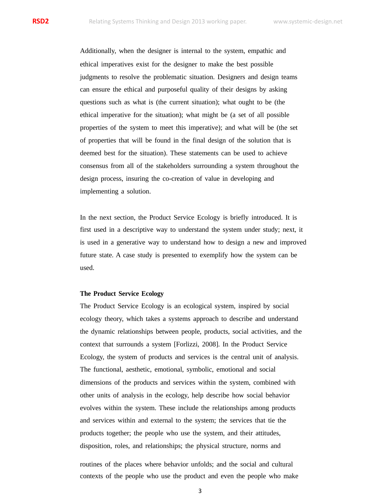Additionally, when the designer is internal to the system, empathic and ethical imperatives exist for the designer to make the best possible judgments to resolve the problematic situation. Designers and design teams can ensure the ethical and purposeful quality of their designs by asking questions such as what is (the current situation); what ought to be (the ethical imperative for the situation); what might be (a set of all possible properties of the system to meet this imperative); and what will be (the set of properties that will be found in the final design of the solution that is deemed best for the situation). These statements can be used to achieve consensus from all of the stakeholders surrounding a system throughout the design process, insuring the co-creation of value in developing and implementing a solution.

In the next section, the Product Service Ecology is briefly introduced. It is first used in a descriptive way to understand the system under study; next, it is used in a generative way to understand how to design a new and improved future state. A case study is presented to exemplify how the system can be used.

# **The Product Service Ecology**

The Product Service Ecology is an ecological system, inspired by social ecology theory, which takes a systems approach to describe and understand the dynamic relationships between people, products, social activities, and the context that surrounds a system [Forlizzi, 2008]. In the Product Service Ecology, the system of products and services is the central unit of analysis. The functional, aesthetic, emotional, symbolic, emotional and social dimensions of the products and services within the system, combined with other units of analysis in the ecology, help describe how social behavior evolves within the system. These include the relationships among products and services within and external to the system; the services that tie the products together; the people who use the system, and their attitudes, disposition, roles, and relationships; the physical structure, norms and

routines of the places where behavior unfolds; and the social and cultural contexts of the people who use the product and even the people who make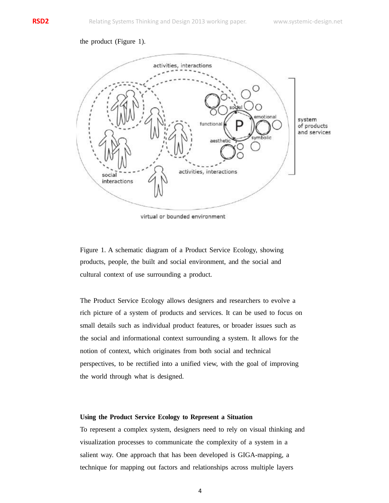# the product (Figure 1).



virtual or bounded environment

Figure 1. A schematic diagram of a Product Service Ecology, showing products, people, the built and social environment, and the social and cultural context of use surrounding a product.

The Product Service Ecology allows designers and researchers to evolve a rich picture of a system of products and services. It can be used to focus on small details such as individual product features, or broader issues such as the social and informational context surrounding a system. It allows for the notion of context, which originates from both social and technical perspectives, to be rectified into a unified view, with the goal of improving the world through what is designed.

# **Using the Product Service Ecology to Represent a Situation**

To represent a complex system, designers need to rely on visual thinking and visualization processes to communicate the complexity of a system in a salient way. One approach that has been developed is GIGA-mapping, a technique for mapping out factors and relationships across multiple layers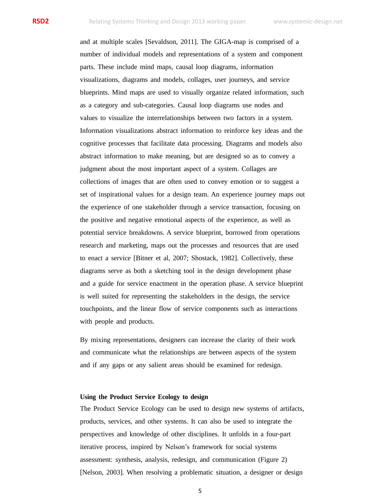and at multiple scales [Sevaldson, 2011]. The GIGA-map is comprised of a number of individual models and representations of a system and component parts. These include mind maps, causal loop diagrams, information visualizations, diagrams and models, collages, user journeys, and service blueprints. Mind maps are used to visually organize related information, such as a category and sub-categories. Causal loop diagrams use nodes and values to visualize the interrelationships between two factors in a system. Information visualizations abstract information to reinforce key ideas and the cognitive processes that facilitate data processing. Diagrams and models also abstract information to make meaning, but are designed so as to convey a judgment about the most important aspect of a system. Collages are collections of images that are often used to convey emotion or to suggest a set of inspirational values for a design team. An experience journey maps out the experience of one stakeholder through a service transaction, focusing on the positive and negative emotional aspects of the experience, as well as potential service breakdowns. A service blueprint, borrowed from operations research and marketing, maps out the processes and resources that are used to enact a service [Bitner et al, 2007; Shostack, 1982]. Collectively, these diagrams serve as both a sketching tool in the design development phase and a guide for service enactment in the operation phase. A service blueprint is well suited for representing the stakeholders in the design, the service touchpoints, and the linear flow of service components such as interactions with people and products.

By mixing representations, designers can increase the clarity of their work and communicate what the relationships are between aspects of the system and if any gaps or any salient areas should be examined for redesign.

## **Using the Product Service Ecology to design**

The Product Service Ecology can be used to design new systems of artifacts, products, services, and other systems. It can also be used to integrate the perspectives and knowledge of other disciplines. It unfolds in a four-part iterative process, inspired by Nelson's framework for social systems assessment: synthesis, analysis, redesign, and communication (Figure 2) [Nelson, 2003]. When resolving a problematic situation, a designer or design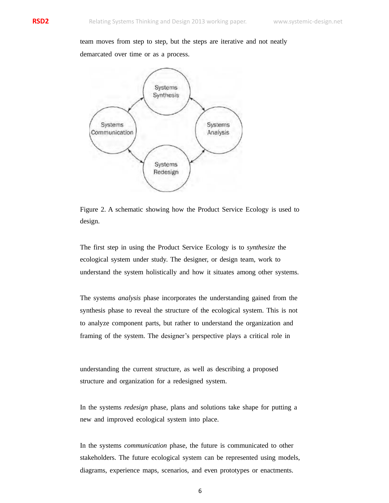team moves from step to step, but the steps are iterative and not neatly

demarcated over time or as a process.



Figure 2. A schematic showing how the Product Service Ecology is used to design.

The first step in using the Product Service Ecology is to *synthesize* the ecological system under study. The designer, or design team, work to understand the system holistically and how it situates among other systems.

The systems *analysis* phase incorporates the understanding gained from the synthesis phase to reveal the structure of the ecological system. This is not to analyze component parts, but rather to understand the organization and framing of the system. The designer's perspective plays a critical role in

understanding the current structure, as well as describing a proposed structure and organization for a redesigned system.

In the systems *redesign* phase, plans and solutions take shape for putting a new and improved ecological system into place.

In the systems *communication* phase, the future is communicated to other stakeholders. The future ecological system can be represented using models, diagrams, experience maps, scenarios, and even prototypes or enactments.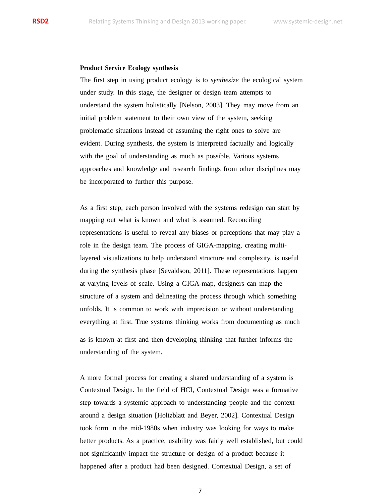## **Product Service Ecology synthesis**

The first step in using product ecology is to *synthesize* the ecological system under study. In this stage, the designer or design team attempts to understand the system holistically [Nelson, 2003]. They may move from an initial problem statement to their own view of the system, seeking problematic situations instead of assuming the right ones to solve are evident. During synthesis, the system is interpreted factually and logically with the goal of understanding as much as possible. Various systems approaches and knowledge and research findings from other disciplines may be incorporated to further this purpose.

As a first step, each person involved with the systems redesign can start by mapping out what is known and what is assumed. Reconciling representations is useful to reveal any biases or perceptions that may play a role in the design team. The process of GIGA-mapping, creating multilayered visualizations to help understand structure and complexity, is useful during the synthesis phase [Sevaldson, 2011]. These representations happen at varying levels of scale. Using a GIGA-map, designers can map the structure of a system and delineating the process through which something unfolds. It is common to work with imprecision or without understanding everything at first. True systems thinking works from documenting as much

as is known at first and then developing thinking that further informs the understanding of the system.

A more formal process for creating a shared understanding of a system is Contextual Design. In the field of HCI, Contextual Design was a formative step towards a systemic approach to understanding people and the context around a design situation [Holtzblatt and Beyer, 2002]. Contextual Design took form in the mid-1980s when industry was looking for ways to make better products. As a practice, usability was fairly well established, but could not significantly impact the structure or design of a product because it happened after a product had been designed. Contextual Design, a set of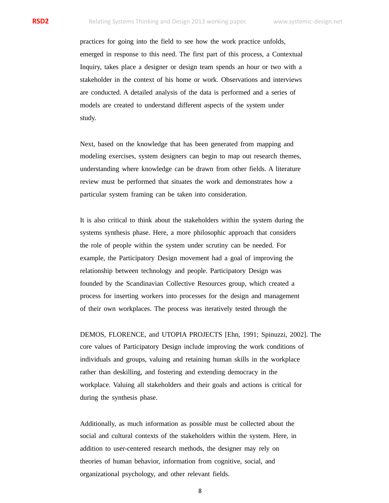practices for going into the field to see how the work practice unfolds, emerged in response to this need. The first part of this process, a Contextual Inquiry, takes place a designer or design team spends an hour or two with a stakeholder in the context of his home or work. Observations and interviews are conducted. A detailed analysis of the data is performed and a series of models are created to understand different aspects of the system under study.

Next, based on the knowledge that has been generated from mapping and modeling exercises, system designers can begin to map out research themes, understanding where knowledge can be drawn from other fields. A literature review must be performed that situates the work and demonstrates how a particular system framing can be taken into consideration.

It is also critical to think about the stakeholders within the system during the systems synthesis phase. Here, a more philosophic approach that considers the role of people within the system under scrutiny can be needed. For example, the Participatory Design movement had a goal of improving the relationship between technology and people. Participatory Design was founded by the Scandinavian Collective Resources group, which created a process for inserting workers into processes for the design and management of their own workplaces. The process was iteratively tested through the

DEMOS, FLORENCE, and UTOPIA PROJECTS [Ehn, 1991; Spinuzzi, 2002]. The core values of Participatory Design include improving the work conditions of individuals and groups, valuing and retaining human skills in the workplace rather than deskilling, and fostering and extending democracy in the workplace. Valuing all stakeholders and their goals and actions is critical for during the synthesis phase.

Additionally, as much information as possible must be collected about the social and cultural contexts of the stakeholders within the system. Here, in addition to user-centered research methods, the designer may rely on theories of human behavior, information from cognitive, social, and organizational psychology, and other relevant fields.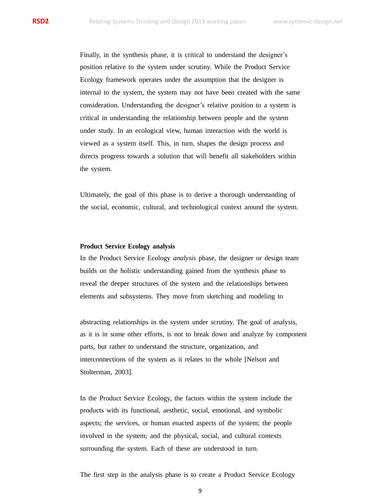Finally, in the synthesis phase, it is critical to understand the designer's position relative to the system under scrutiny. While the Product Service Ecology framework operates under the assumption that the designer is internal to the system, the system may not have been created with the same consideration. Understanding the designer's relative position to a system is critical in understanding the relationship between people and the system under study. In an ecological view, human interaction with the world is viewed as a system itself. This, in turn, shapes the design process and directs progress towards a solution that will benefit all stakeholders within the system.

Ultimately, the goal of this phase is to derive a thorough understanding of the social, economic, cultural, and technological context around the system.

## **Product Service Ecology analysis**

In the Product Service Ecology *analysis* phase, the designer or design team builds on the holistic understanding gained from the synthesis phase to reveal the deeper structures of the system and the relationships between elements and subsystems. They move from sketching and modeling to

abstracting relationships in the system under scrutiny. The goal of analysis, as it is in some other efforts, is not to break down and analyze by component parts, but rather to understand the structure, organization, and interconnections of the system as it relates to the whole [Nelson and Stolterman, 2003].

In the Product Service Ecology, the factors within the system include the products with its functional, aesthetic, social, emotional, and symbolic aspects; the services, or human enacted aspects of the system; the people involved in the system; and the physical, social, and cultural contexts surrounding the system. Each of these are understood in turn.

The first step in the analysis phase is to create a Product Service Ecology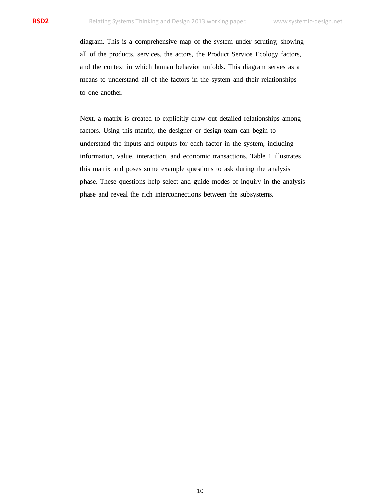diagram. This is a comprehensive map of the system under scrutiny, showing all of the products, services, the actors, the Product Service Ecology factors, and the context in which human behavior unfolds. This diagram serves as a means to understand all of the factors in the system and their relationships to one another.

Next, a matrix is created to explicitly draw out detailed relationships among factors. Using this matrix, the designer or design team can begin to understand the inputs and outputs for each factor in the system, including information, value, interaction, and economic transactions. Table 1 illustrates this matrix and poses some example questions to ask during the analysis phase. These questions help select and guide modes of inquiry in the analysis phase and reveal the rich interconnections between the subsystems.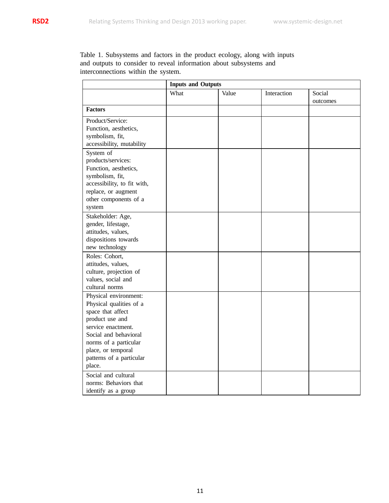Table 1. Subsystems and factors in the product ecology, along with inputs and outputs to consider to reveal information about subsystems and interconnections within the system.

|                             | <b>Inputs and Outputs</b> |       |             |          |  |  |
|-----------------------------|---------------------------|-------|-------------|----------|--|--|
|                             | What                      | Value | Interaction | Social   |  |  |
|                             |                           |       |             | outcomes |  |  |
| <b>Factors</b>              |                           |       |             |          |  |  |
| Product/Service:            |                           |       |             |          |  |  |
| Function, aesthetics,       |                           |       |             |          |  |  |
| symbolism, fit,             |                           |       |             |          |  |  |
| accessibility, mutability   |                           |       |             |          |  |  |
| System of                   |                           |       |             |          |  |  |
| products/services:          |                           |       |             |          |  |  |
| Function, aesthetics,       |                           |       |             |          |  |  |
| symbolism, fit,             |                           |       |             |          |  |  |
| accessibility, to fit with, |                           |       |             |          |  |  |
| replace, or augment         |                           |       |             |          |  |  |
| other components of a       |                           |       |             |          |  |  |
| system                      |                           |       |             |          |  |  |
| Stakeholder: Age,           |                           |       |             |          |  |  |
| gender, lifestage,          |                           |       |             |          |  |  |
| attitudes, values,          |                           |       |             |          |  |  |
| dispositions towards        |                           |       |             |          |  |  |
| new technology              |                           |       |             |          |  |  |
| Roles: Cohort,              |                           |       |             |          |  |  |
| attitudes, values,          |                           |       |             |          |  |  |
| culture, projection of      |                           |       |             |          |  |  |
| values, social and          |                           |       |             |          |  |  |
| cultural norms              |                           |       |             |          |  |  |
| Physical environment:       |                           |       |             |          |  |  |
| Physical qualities of a     |                           |       |             |          |  |  |
| space that affect           |                           |       |             |          |  |  |
| product use and             |                           |       |             |          |  |  |
| service enactment.          |                           |       |             |          |  |  |
| Social and behavioral       |                           |       |             |          |  |  |
| norms of a particular       |                           |       |             |          |  |  |
| place, or temporal          |                           |       |             |          |  |  |
| patterns of a particular    |                           |       |             |          |  |  |
| place.                      |                           |       |             |          |  |  |
| Social and cultural         |                           |       |             |          |  |  |
| norms: Behaviors that       |                           |       |             |          |  |  |
| identify as a group         |                           |       |             |          |  |  |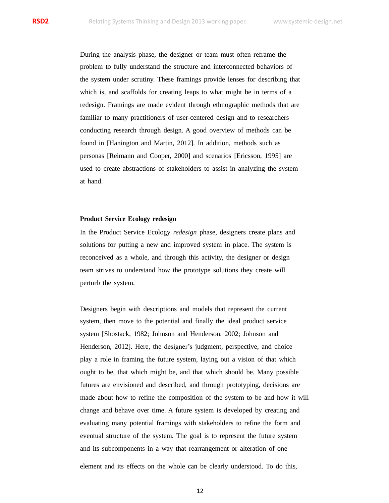During the analysis phase, the designer or team must often reframe the problem to fully understand the structure and interconnected behaviors of the system under scrutiny. These framings provide lenses for describing that which is, and scaffolds for creating leaps to what might be in terms of a redesign. Framings are made evident through ethnographic methods that are familiar to many practitioners of user-centered design and to researchers conducting research through design. A good overview of methods can be found in [Hanington and Martin, 2012]. In addition, methods such as personas [Reimann and Cooper, 2000] and scenarios [Ericsson, 1995] are used to create abstractions of stakeholders to assist in analyzing the system at hand.

## **Product Service Ecology redesign**

In the Product Service Ecology *redesign* phase, designers create plans and solutions for putting a new and improved system in place. The system is reconceived as a whole, and through this activity, the designer or design team strives to understand how the prototype solutions they create will perturb the system.

Designers begin with descriptions and models that represent the current system, then move to the potential and finally the ideal product service system [Shostack, 1982; Johnson and Henderson, 2002; Johnson and Henderson, 2012]. Here, the designer's judgment, perspective, and choice play a role in framing the future system, laying out a vision of that which ought to be, that which might be, and that which should be. Many possible futures are envisioned and described, and through prototyping, decisions are made about how to refine the composition of the system to be and how it will change and behave over time. A future system is developed by creating and evaluating many potential framings with stakeholders to refine the form and eventual structure of the system. The goal is to represent the future system and its subcomponents in a way that rearrangement or alteration of one

element and its effects on the whole can be clearly understood. To do this,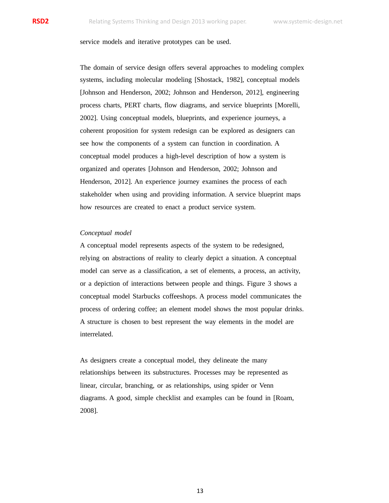# service models and iterative prototypes can be used.

The domain of service design offers several approaches to modeling complex systems, including molecular modeling [Shostack, 1982], conceptual models [Johnson and Henderson, 2002; Johnson and Henderson, 2012], engineering process charts, PERT charts, flow diagrams, and service blueprints [Morelli, 2002]. Using conceptual models, blueprints, and experience journeys, a coherent proposition for system redesign can be explored as designers can see how the components of a system can function in coordination. A conceptual model produces a high-level description of how a system is organized and operates [Johnson and Henderson, 2002; Johnson and Henderson, 2012]. An experience journey examines the process of each stakeholder when using and providing information. A service blueprint maps how resources are created to enact a product service system.

## *Conceptual model*

A conceptual model represents aspects of the system to be redesigned, relying on abstractions of reality to clearly depict a situation. A conceptual model can serve as a classification, a set of elements, a process, an activity, or a depiction of interactions between people and things. Figure 3 shows a conceptual model Starbucks coffeeshops. A process model communicates the process of ordering coffee; an element model shows the most popular drinks. A structure is chosen to best represent the way elements in the model are interrelated.

As designers create a conceptual model, they delineate the many relationships between its substructures. Processes may be represented as linear, circular, branching, or as relationships, using spider or Venn diagrams. A good, simple checklist and examples can be found in [Roam, 2008].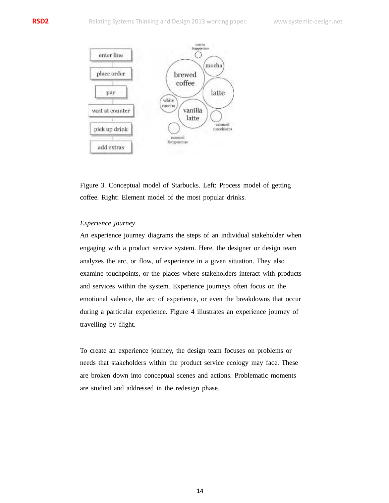

Figure 3. Conceptual model of Starbucks. Left: Process model of getting coffee. Right: Element model of the most popular drinks.

# *Experience journey*

An experience journey diagrams the steps of an individual stakeholder when engaging with a product service system. Here, the designer or design team analyzes the arc, or flow, of experience in a given situation. They also examine touchpoints, or the places where stakeholders interact with products and services within the system. Experience journeys often focus on the emotional valence, the arc of experience, or even the breakdowns that occur during a particular experience. Figure 4 illustrates an experience journey of travelling by flight.

To create an experience journey, the design team focuses on problems or needs that stakeholders within the product service ecology may face. These are broken down into conceptual scenes and actions. Problematic moments are studied and addressed in the redesign phase.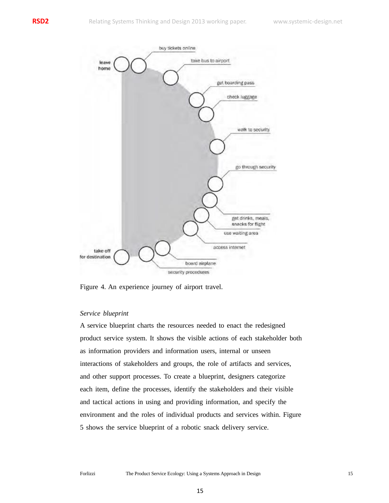

Figure 4. An experience journey of airport travel.

# *Service blueprint*

A service blueprint charts the resources needed to enact the redesigned product service system. It shows the visible actions of each stakeholder both as information providers and information users, internal or unseen interactions of stakeholders and groups, the role of artifacts and services, and other support processes. To create a blueprint, designers categorize each item, define the processes, identify the stakeholders and their visible and tactical actions in using and providing information, and specify the environment and the roles of individual products and services within. Figure 5 shows the service blueprint of a robotic snack delivery service.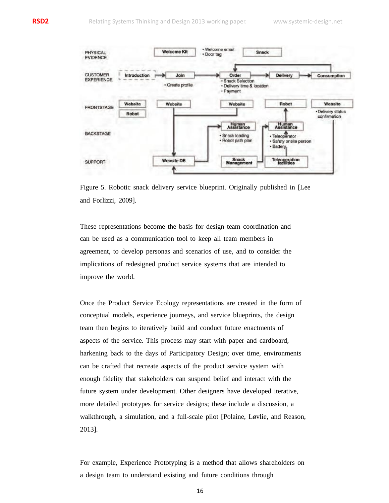

Figure 5. Robotic snack delivery service blueprint. Originally published in [Lee and Forlizzi, 2009].

These representations become the basis for design team coordination and can be used as a communication tool to keep all team members in agreement, to develop personas and scenarios of use, and to consider the implications of redesigned product service systems that are intended to improve the world.

Once the Product Service Ecology representations are created in the form of conceptual models, experience journeys, and service blueprints, the design team then begins to iteratively build and conduct future enactments of aspects of the service. This process may start with paper and cardboard, harkening back to the days of Participatory Design; over time, environments can be crafted that recreate aspects of the product service system with enough fidelity that stakeholders can suspend belief and interact with the future system under development. Other designers have developed iterative, more detailed prototypes for service designs; these include a discussion, a walkthrough, a simulation, and a full-scale pilot [Polaine, Løvlie, and Reason, 2013].

For example, Experience Prototyping is a method that allows shareholders on a design team to understand existing and future conditions through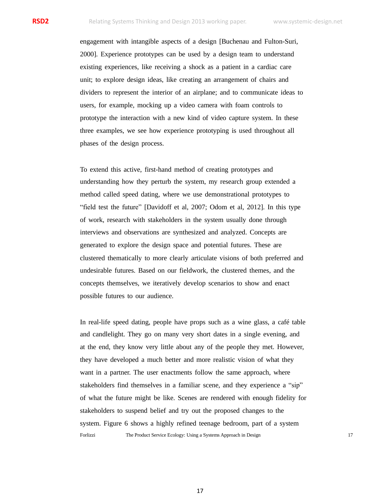engagement with intangible aspects of a design [Buchenau and Fulton-Suri, 2000]. Experience prototypes can be used by a design team to understand existing experiences, like receiving a shock as a patient in a cardiac care unit; to explore design ideas, like creating an arrangement of chairs and dividers to represent the interior of an airplane; and to communicate ideas to users, for example, mocking up a video camera with foam controls to prototype the interaction with a new kind of video capture system. In these three examples, we see how experience prototyping is used throughout all phases of the design process.

To extend this active, first-hand method of creating prototypes and understanding how they perturb the system, my research group extended a method called speed dating, where we use demonstrational prototypes to "field test the future" [Davidoff et al, 2007; Odom et al, 2012]. In this type of work, research with stakeholders in the system usually done through interviews and observations are synthesized and analyzed. Concepts are generated to explore the design space and potential futures. These are clustered thematically to more clearly articulate visions of both preferred and undesirable futures. Based on our fieldwork, the clustered themes, and the concepts themselves, we iteratively develop scenarios to show and enact possible futures to our audience.

In real-life speed dating, people have props such as a wine glass, a café table and candlelight. They go on many very short dates in a single evening, and at the end, they know very little about any of the people they met. However, they have developed a much better and more realistic vision of what they want in a partner. The user enactments follow the same approach, where stakeholders find themselves in a familiar scene, and they experience a "sip" of what the future might be like. Scenes are rendered with enough fidelity for stakeholders to suspend belief and try out the proposed changes to the system. Figure 6 shows a highly refined teenage bedroom, part of a system Forlizzi The Product Service Ecology: Using a Systems Approach in Design 17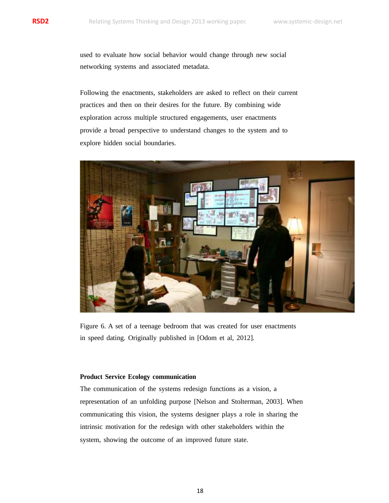used to evaluate how social behavior would change through new social networking systems and associated metadata.

Following the enactments, stakeholders are asked to reflect on their current practices and then on their desires for the future. By combining wide exploration across multiple structured engagements, user enactments provide a broad perspective to understand changes to the system and to explore hidden social boundaries.



Figure 6. A set of a teenage bedroom that was created for user enactments in speed dating. Originally published in [Odom et al, 2012].

# **Product Service Ecology communication**

The communication of the systems redesign functions as a vision, a representation of an unfolding purpose [Nelson and Stolterman, 2003]. When communicating this vision, the systems designer plays a role in sharing the intrinsic motivation for the redesign with other stakeholders within the system, showing the outcome of an improved future state.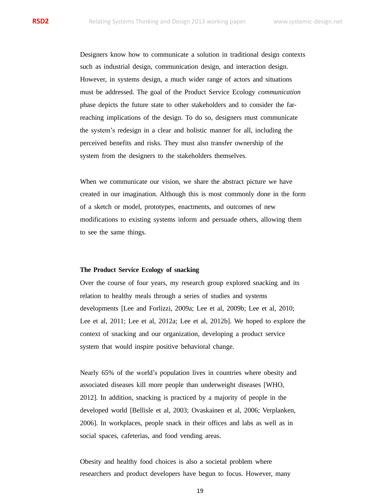Designers know how to communicate a solution in traditional design contexts such as industrial design, communication design, and interaction design. However, in systems design, a much wider range of actors and situations must be addressed. The goal of the Product Service Ecology *communication* phase depicts the future state to other stakeholders and to consider the farreaching implications of the design. To do so, designers must communicate the system's redesign in a clear and holistic manner for all, including the perceived benefits and risks. They must also transfer ownership of the system from the designers to the stakeholders themselves.

When we communicate our vision, we share the abstract picture we have created in our imagination. Although this is most commonly done in the form of a sketch or model, prototypes, enactments, and outcomes of new modifications to existing systems inform and persuade others, allowing them to see the same things.

## **The Product Service Ecology of snacking**

Over the course of four years, my research group explored snacking and its relation to healthy meals through a series of studies and systems developments [Lee and Forlizzi, 2009a; Lee et al, 2009b; Lee et al, 2010; Lee et al, 2011; Lee et al, 2012a; Lee et al, 2012b]. We hoped to explore the context of snacking and our organization, developing a product service system that would inspire positive behavioral change.

Nearly 65% of the world's population lives in countries where obesity and associated diseases kill more people than underweight diseases [WHO, 2012]. In addition, snacking is practiced by a majority of people in the developed world [Bellisle et al, 2003; Ovaskainen et al, 2006; Verplanken, 2006]. In workplaces, people snack in their offices and labs as well as in social spaces, cafeterias, and food vending areas.

Obesity and healthy food choices is also a societal problem where researchers and product developers have begun to focus. However, many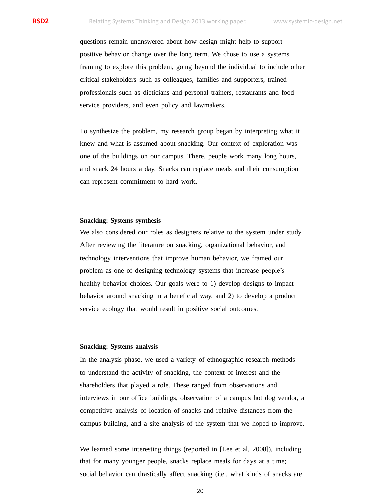questions remain unanswered about how design might help to support positive behavior change over the long term. We chose to use a systems framing to explore this problem, going beyond the individual to include other critical stakeholders such as colleagues, families and supporters, trained professionals such as dieticians and personal trainers, restaurants and food service providers, and even policy and lawmakers.

To synthesize the problem, my research group began by interpreting what it knew and what is assumed about snacking. Our context of exploration was one of the buildings on our campus. There, people work many long hours, and snack 24 hours a day. Snacks can replace meals and their consumption can represent commitment to hard work.

# **Snacking: Systems synthesis**

We also considered our roles as designers relative to the system under study. After reviewing the literature on snacking, organizational behavior, and technology interventions that improve human behavior, we framed our problem as one of designing technology systems that increase people's healthy behavior choices. Our goals were to 1) develop designs to impact behavior around snacking in a beneficial way, and 2) to develop a product service ecology that would result in positive social outcomes.

## **Snacking: Systems analysis**

In the analysis phase, we used a variety of ethnographic research methods to understand the activity of snacking, the context of interest and the shareholders that played a role. These ranged from observations and interviews in our office buildings, observation of a campus hot dog vendor, a competitive analysis of location of snacks and relative distances from the campus building, and a site analysis of the system that we hoped to improve.

We learned some interesting things (reported in [Lee et al, 2008]), including that for many younger people, snacks replace meals for days at a time; social behavior can drastically affect snacking (i.e., what kinds of snacks are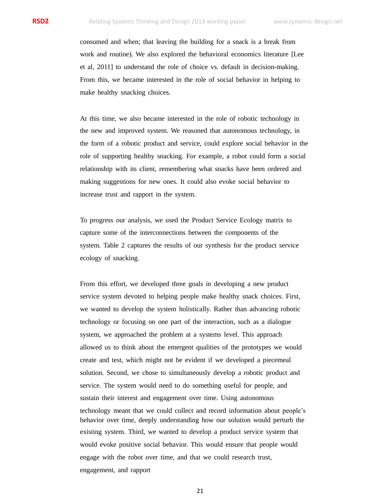consumed and when; that leaving the building for a snack is a break from work and routine). We also explored the behavioral economics literature [Lee et al, 2011] to understand the role of choice vs. default in decision-making. From this, we became interested in the role of social behavior in helping to make healthy snacking choices.

At this time, we also became interested in the role of robotic technology in the new and improved system. We reasoned that autonomous technology, in the form of a robotic product and service, could explore social behavior in the role of supporting healthy snacking. For example, a robot could form a social relationship with its client, remembering what snacks have been ordered and making suggestions for new ones. It could also evoke social behavior to increase trust and rapport in the system.

To progress our analysis, we used the Product Service Ecology matrix to capture some of the interconnections between the components of the system. Table 2 captures the results of our synthesis for the product service ecology of snacking.

From this effort, we developed three goals in developing a new product service system devoted to helping people make healthy snack choices. First, we wanted to develop the system holistically. Rather than advancing robotic technology or focusing on one part of the interaction, such as a dialogue system, we approached the problem at a systems level. This approach allowed us to think about the emergent qualities of the prototypes we would create and test, which might not be evident if we developed a piecemeal solution. Second, we chose to simultaneously develop a robotic product and service. The system would need to do something useful for people, and sustain their interest and engagement over time. Using autonomous technology meant that we could collect and record information about people's behavior over time, deeply understanding how our solution would perturb the existing system. Third, we wanted to develop a product service system that would evoke positive social behavior. This would ensure that people would engage with the robot over time, and that we could research trust, engagement, and rapport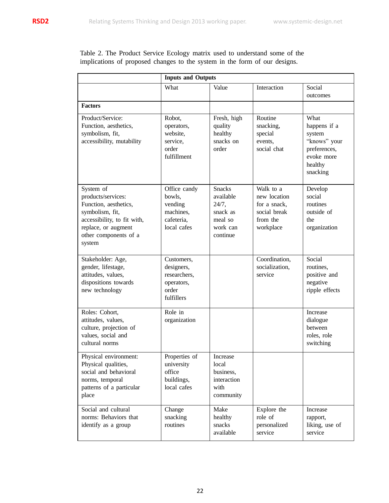Table 2. The Product Service Ecology matrix used to understand some of the implications of proposed changes to the system in the form of our designs.

|                                                                                                                                                                      | <b>Inputs and Outputs</b>                                                     |                                                                                    |                                                                                    |                                                                                                     |  |  |
|----------------------------------------------------------------------------------------------------------------------------------------------------------------------|-------------------------------------------------------------------------------|------------------------------------------------------------------------------------|------------------------------------------------------------------------------------|-----------------------------------------------------------------------------------------------------|--|--|
|                                                                                                                                                                      | What                                                                          | Value                                                                              | Interaction                                                                        | Social<br>outcomes                                                                                  |  |  |
| <b>Factors</b>                                                                                                                                                       |                                                                               |                                                                                    |                                                                                    |                                                                                                     |  |  |
| Product/Service:<br>Function, aesthetics,<br>symbolism, fit,<br>accessibility, mutability                                                                            | Robot,<br>operators,<br>website,<br>service.<br>order<br>fulfillment          | Fresh, high<br>quality<br>healthy<br>snacks on<br>order                            | Routine<br>snacking,<br>special<br>events,<br>social chat                          | What<br>happens if a<br>system<br>"knows" your<br>preferences,<br>evoke more<br>healthy<br>snacking |  |  |
| System of<br>products/services:<br>Function, aesthetics,<br>symbolism, fit,<br>accessibility, to fit with,<br>replace, or augment<br>other components of a<br>system | Office candy<br>bowls.<br>vending<br>machines,<br>cafeteria.<br>local cafes   | <b>Snacks</b><br>available<br>24/7,<br>snack as<br>meal so<br>work can<br>continue | Walk to a<br>new location<br>for a snack,<br>social break<br>from the<br>workplace | Develop<br>social<br>routines<br>outside of<br>the<br>organization                                  |  |  |
| Stakeholder: Age,<br>gender, lifestage,<br>attitudes, values,<br>dispositions towards<br>new technology                                                              | Customers,<br>designers,<br>researchers.<br>operators,<br>order<br>fulfillers |                                                                                    | Coordination,<br>socialization,<br>service                                         | Social<br>routines,<br>positive and<br>negative<br>ripple effects                                   |  |  |
| Roles: Cohort,<br>attitudes, values,<br>culture, projection of<br>values, social and<br>cultural norms                                                               | Role in<br>organization                                                       |                                                                                    |                                                                                    | Increase<br>dialogue<br><b>between</b><br>roles, role<br>switching                                  |  |  |
| Physical environment:<br>Physical qualities,<br>social and behavioral<br>norms, temporal<br>patterns of a particular<br>place                                        | Properties of<br>university<br>office<br>buildings,<br>local cafes            | Increase<br>local<br>business,<br>interaction<br>with<br>community                 |                                                                                    |                                                                                                     |  |  |
| Social and cultural<br>norms: Behaviors that<br>identify as a group                                                                                                  | Change<br>snacking<br>routines                                                | Make<br>healthy<br>snacks<br>available                                             | Explore the<br>role of<br>personalized<br>service                                  | Increase<br>rapport,<br>liking, use of<br>service                                                   |  |  |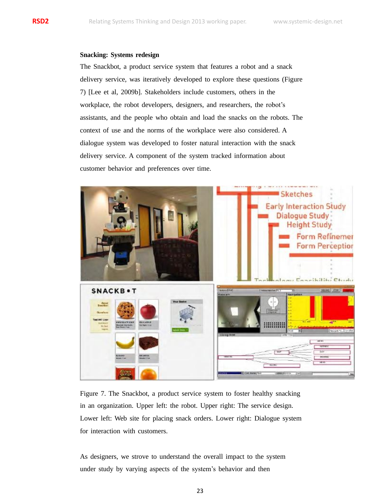## **Snacking: Systems redesign**

The Snackbot, a product service system that features a robot and a snack delivery service, was iteratively developed to explore these questions (Figure 7) [Lee et al, 2009b]. Stakeholders include customers, others in the workplace, the robot developers, designers, and researchers, the robot's assistants, and the people who obtain and load the snacks on the robots. The context of use and the norms of the workplace were also considered. A dialogue system was developed to foster natural interaction with the snack delivery service. A component of the system tracked information about customer behavior and preferences over time.



Figure 7. The Snackbot, a product service system to foster healthy snacking in an organization. Upper left: the robot. Upper right: The service design. Lower left: Web site for placing snack orders. Lower right: Dialogue system for interaction with customers.

As designers, we strove to understand the overall impact to the system under study by varying aspects of the system's behavior and then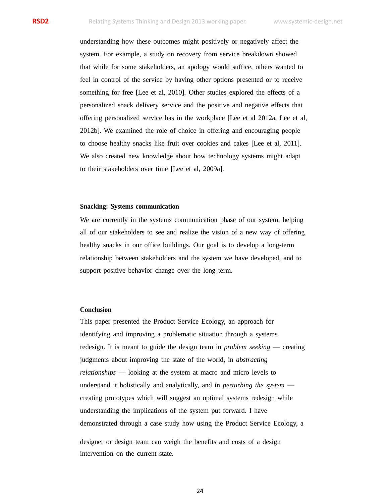understanding how these outcomes might positively or negatively affect the system. For example, a study on recovery from service breakdown showed that while for some stakeholders, an apology would suffice, others wanted to feel in control of the service by having other options presented or to receive something for free [Lee et al, 2010]. Other studies explored the effects of a personalized snack delivery service and the positive and negative effects that offering personalized service has in the workplace [Lee et al 2012a, Lee et al, 2012b]. We examined the role of choice in offering and encouraging people to choose healthy snacks like fruit over cookies and cakes [Lee et al, 2011]. We also created new knowledge about how technology systems might adapt to their stakeholders over time [Lee et al, 2009a].

## **Snacking: Systems communication**

We are currently in the systems communication phase of our system, helping all of our stakeholders to see and realize the vision of a new way of offering healthy snacks in our office buildings. Our goal is to develop a long-term relationship between stakeholders and the system we have developed, and to support positive behavior change over the long term.

### **Conclusion**

This paper presented the Product Service Ecology, an approach for identifying and improving a problematic situation through a systems redesign. It is meant to guide the design team in *problem seeking* — creating judgments about improving the state of the world, in *abstracting relationships* — looking at the system at macro and micro levels to understand it holistically and analytically, and in *perturbing the system* creating prototypes which will suggest an optimal systems redesign while understanding the implications of the system put forward. I have demonstrated through a case study how using the Product Service Ecology, a

designer or design team can weigh the benefits and costs of a design intervention on the current state.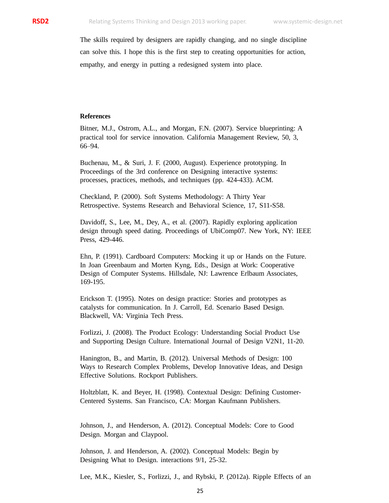The skills required by designers are rapidly changing, and no single discipline can solve this. I hope this is the first step to creating opportunities for action, empathy, and energy in putting a redesigned system into place.

# **References**

Bitner, M.J., Ostrom, A.L., and Morgan, F.N. (2007). Service blueprinting: A practical tool for service innovation. California Management Review, 50, 3, 66–94.

Buchenau, M., & Suri, J. F. (2000, August). Experience prototyping. In Proceedings of the 3rd conference on Designing interactive systems: processes, practices, methods, and techniques (pp. 424-433). ACM.

Checkland, P. (2000). Soft Systems Methodology: A Thirty Year Retrospective. Systems Research and Behavioral Science, 17, S11-S58.

Davidoff, S., Lee, M., Dey, A., et al. (2007). Rapidly exploring application design through speed dating. Proceedings of UbiComp07. New York, NY: IEEE Press, 429-446.

Ehn, P. (1991). Cardboard Computers: Mocking it up or Hands on the Future. In Joan Greenbaum and Morten Kyng, Eds., Design at Work: Cooperative Design of Computer Systems. Hillsdale, NJ: Lawrence Erlbaum Associates, 169-195.

Erickson T. (1995). Notes on design practice: Stories and prototypes as catalysts for communication. In J. Carroll, Ed. Scenario Based Design. Blackwell, VA: Virginia Tech Press.

Forlizzi, J. (2008). The Product Ecology: Understanding Social Product Use and Supporting Design Culture. International Journal of Design V2N1, 11-20.

Hanington, B., and Martin, B. (2012). Universal Methods of Design: 100 Ways to Research Complex Problems, Develop Innovative Ideas, and Design Effective Solutions. Rockport Publishers.

Holtzblatt, K. and Beyer, H. (1998). Contextual Design: Defining Customer-Centered Systems. San Francisco, CA: Morgan Kaufmann Publishers.

Johnson, J., and Henderson, A. (2012). Conceptual Models: Core to Good Design. Morgan and Claypool.

Johnson, J. and Henderson, A. (2002). Conceptual Models: Begin by Designing What to Design. interactions 9/1, 25-32.

Lee, M.K., Kiesler, S., Forlizzi, J., and Rybski, P. (2012a). Ripple Effects of an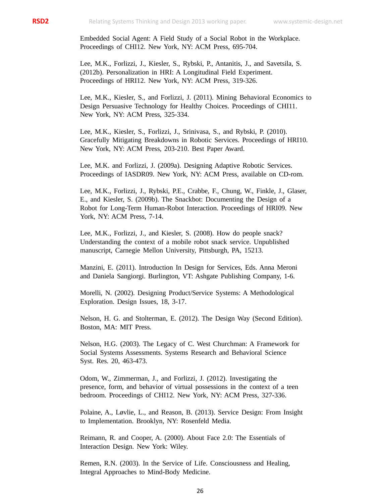Embedded Social Agent: A Field Study of a Social Robot in the Workplace. Proceedings of CHI12. New York, NY: ACM Press, 695-704.

Lee, M.K., Forlizzi, J., Kiesler, S., Rybski, P., Antanitis, J., and Savetsila, S. (2012b). Personalization in HRI: A Longitudinal Field Experiment. Proceedings of HRI12. New York, NY: ACM Press, 319-326.

Lee, M.K., Kiesler, S., and Forlizzi, J. (2011). Mining Behavioral Economics to Design Persuasive Technology for Healthy Choices. Proceedings of CHI11. New York, NY: ACM Press, 325-334.

Lee, M.K., Kiesler, S., Forlizzi, J., Srinivasa, S., and Rybski, P. (2010). Gracefully Mitigating Breakdowns in Robotic Services. Proceedings of HRI10. New York, NY: ACM Press, 203-210. Best Paper Award.

Lee, M.K. and Forlizzi, J. (2009a). Designing Adaptive Robotic Services. Proceedings of IASDR09. New York, NY: ACM Press, available on CD-rom.

Lee, M.K., Forlizzi, J., Rybski, P.E., Crabbe, F., Chung, W., Finkle, J., Glaser, E., and Kiesler, S. (2009b). The Snackbot: Documenting the Design of a Robot for Long-Term Human-Robot Interaction. Proceedings of HRI09. New York, NY: ACM Press, 7-14.

Lee, M.K., Forlizzi, J., and Kiesler, S. (2008). How do people snack? Understanding the context of a mobile robot snack service. Unpublished manuscript, Carnegie Mellon University, Pittsburgh, PA, 15213.

Manzini, E. (2011). Introduction In Design for Services, Eds. Anna Meroni and Daniela Sangiorgi. Burlington, VT: Ashgate Publishing Company, 1-6.

Morelli, N. (2002). Designing Product/Service Systems: A Methodological Exploration. Design Issues, 18, 3-17.

Nelson, H. G. and Stolterman, E. (2012). The Design Way (Second Edition). Boston, MA: MIT Press.

Nelson, H.G. (2003). The Legacy of C. West Churchman: A Framework for Social Systems Assessments. Systems Research and Behavioral Science Syst. Res. 20, 463-473.

Odom, W., Zimmerman, J., and Forlizzi, J. (2012). Investigating the presence, form, and behavior of virtual possessions in the context of a teen bedroom. Proceedings of CHI12. New York, NY: ACM Press, 327-336.

Polaine, A., Løvlie, L., and Reason, B. (2013). Service Design: From Insight to Implementation. Brooklyn, NY: Rosenfeld Media.

Reimann, R. and Cooper, A. (2000). About Face 2.0: The Essentials of Interaction Design. New York: Wiley.

Remen, R.N. (2003). In the Service of Life. Consciousness and Healing, Integral Approaches to Mind-Body Medicine.